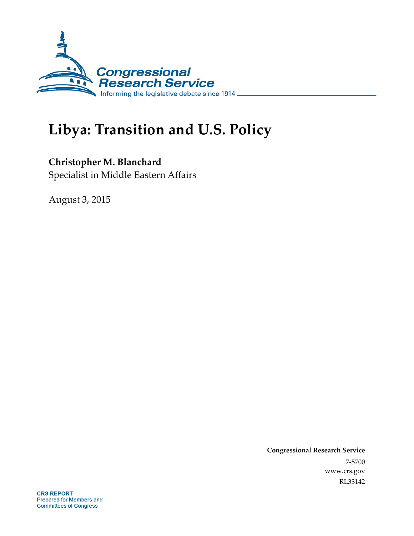

# **Libya: Transition and U.S. Policy**

### **Christopher M. Blanchard**

Specialist in Middle Eastern Affairs

August 3, 2015

**Congressional Research Service**  7-5700 www.crs.gov RL33142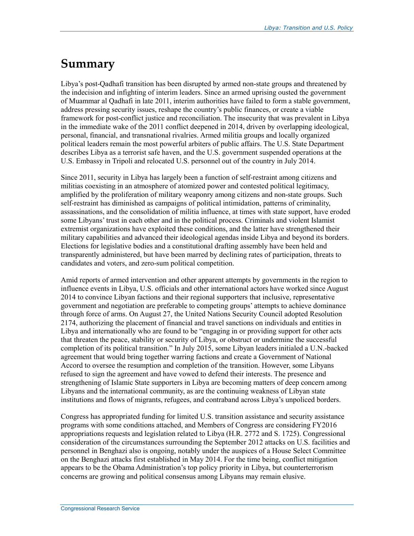### **Summary**

Libya's post-Qadhafi transition has been disrupted by armed non-state groups and threatened by the indecision and infighting of interim leaders. Since an armed uprising ousted the government of Muammar al Qadhafi in late 2011, interim authorities have failed to form a stable government, address pressing security issues, reshape the country's public finances, or create a viable framework for post-conflict justice and reconciliation. The insecurity that was prevalent in Libya in the immediate wake of the 2011 conflict deepened in 2014, driven by overlapping ideological, personal, financial, and transnational rivalries. Armed militia groups and locally organized political leaders remain the most powerful arbiters of public affairs. The U.S. State Department describes Libya as a terrorist safe haven, and the U.S. government suspended operations at the U.S. Embassy in Tripoli and relocated U.S. personnel out of the country in July 2014.

Since 2011, security in Libya has largely been a function of self-restraint among citizens and militias coexisting in an atmosphere of atomized power and contested political legitimacy, amplified by the proliferation of military weaponry among citizens and non-state groups. Such self-restraint has diminished as campaigns of political intimidation, patterns of criminality, assassinations, and the consolidation of militia influence, at times with state support, have eroded some Libyans' trust in each other and in the political process. Criminals and violent Islamist extremist organizations have exploited these conditions, and the latter have strengthened their military capabilities and advanced their ideological agendas inside Libya and beyond its borders. Elections for legislative bodies and a constitutional drafting assembly have been held and transparently administered, but have been marred by declining rates of participation, threats to candidates and voters, and zero-sum political competition.

Amid reports of armed intervention and other apparent attempts by governments in the region to influence events in Libya, U.S. officials and other international actors have worked since August 2014 to convince Libyan factions and their regional supporters that inclusive, representative government and negotiation are preferable to competing groups' attempts to achieve dominance through force of arms. On August 27, the United Nations Security Council adopted Resolution 2174, authorizing the placement of financial and travel sanctions on individuals and entities in Libya and internationally who are found to be "engaging in or providing support for other acts that threaten the peace, stability or security of Libya, or obstruct or undermine the successful completion of its political transition." In July 2015, some Libyan leaders initialed a U.N.-backed agreement that would bring together warring factions and create a Government of National Accord to oversee the resumption and completion of the transition. However, some Libyans refused to sign the agreement and have vowed to defend their interests. The presence and strengthening of Islamic State supporters in Libya are becoming matters of deep concern among Libyans and the international community, as are the continuing weakness of Libyan state institutions and flows of migrants, refugees, and contraband across Libya's unpoliced borders.

Congress has appropriated funding for limited U.S. transition assistance and security assistance programs with some conditions attached, and Members of Congress are considering FY2016 appropriations requests and legislation related to Libya (H.R. 2772 and S. 1725). Congressional consideration of the circumstances surrounding the September 2012 attacks on U.S. facilities and personnel in Benghazi also is ongoing, notably under the auspices of a House Select Committee on the Benghazi attacks first established in May 2014. For the time being, conflict mitigation appears to be the Obama Administration's top policy priority in Libya, but counterterrorism concerns are growing and political consensus among Libyans may remain elusive.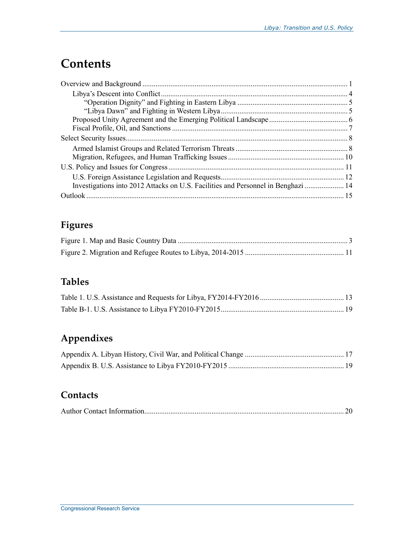## **Contents**

| Investigations into 2012 Attacks on U.S. Facilities and Personnel in Benghazi  14 |  |
|-----------------------------------------------------------------------------------|--|
|                                                                                   |  |

### **Figures**

### **Tables**

### **Appendixes**

### **Contacts**

|--|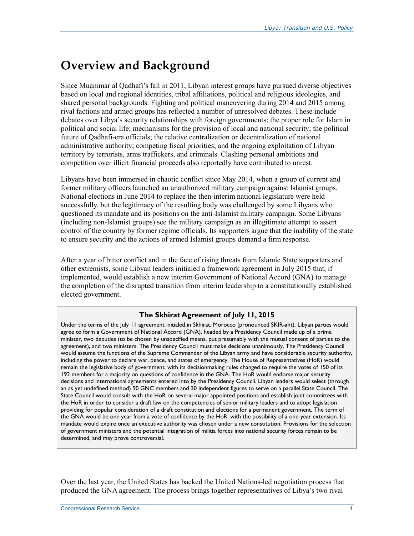## **Overview and Background**

Since Muammar al Qadhafi's fall in 2011, Libyan interest groups have pursued diverse objectives based on local and regional identities, tribal affiliations, political and religious ideologies, and shared personal backgrounds. Fighting and political maneuvering during 2014 and 2015 among rival factions and armed groups has reflected a number of unresolved debates. These include debates over Libya's security relationships with foreign governments; the proper role for Islam in political and social life; mechanisms for the provision of local and national security; the political future of Qadhafi-era officials; the relative centralization or decentralization of national administrative authority; competing fiscal priorities; and the ongoing exploitation of Libyan territory by terrorists, arms traffickers, and criminals. Clashing personal ambitions and competition over illicit financial proceeds also reportedly have contributed to unrest.

Libyans have been immersed in chaotic conflict since May 2014, when a group of current and former military officers launched an unauthorized military campaign against Islamist groups. National elections in June 2014 to replace the then-interim national legislature were held successfully, but the legitimacy of the resulting body was challenged by some Libyans who questioned its mandate and its positions on the anti-Islamist military campaign. Some Libyans (including non-Islamist groups) see the military campaign as an illegitimate attempt to assert control of the country by former regime officials. Its supporters argue that the inability of the state to ensure security and the actions of armed Islamist groups demand a firm response.

After a year of bitter conflict and in the face of rising threats from Islamic State supporters and other extremists, some Libyan leaders initialed a framework agreement in July 2015 that, if implemented, would establish a new interim Government of National Accord (GNA) to manage the completion of the disrupted transition from interim leadership to a constitutionally established elected government.

#### **The Skhirat Agreement of July 11, 2015**

Under the terms of the July 11 agreement initialed in Skhirat, Morocco (pronounced SKIR-aht), Libyan parties would agree to form a Government of National Accord (GNA), headed by a Presidency Council made up of a prime minister, two deputies (to be chosen by unspecified means, put presumably with the mutual consent of parties to the agreement), and two ministers. The Presidency Council must make decisions unanimously. The Presidency Council would assume the functions of the Supreme Commander of the Libyan army and have considerable security authority, including the power to declare war, peace, and states of emergency. The House of Representatives (HoR) would remain the legislative body of government, with its decisionmaking rules changed to require the votes of 150 of its 192 members for a majority on questions of confidence in the GNA. The HoR would endorse major security decisions and international agreements entered into by the Presidency Council. Libyan leaders would select (through an as yet undefined method) 90 GNC members and 30 independent figures to serve on a parallel State Council. The State Council would consult with the HoR on several major appointed positions and establish joint committees with the HoR in order to consider a draft law on the competencies of senior military leaders and to adopt legislation providing for popular consideration of a draft constitution and elections for a permanent government. The term of the GNA would be one year from a vote of confidence by the HoR, with the possibility of a one-year extension. Its mandate would expire once an executive authority was chosen under a new constitution. Provisions for the selection of government ministers and the potential integration of militia forces into national security forces remain to be determined, and may prove controversial.

Over the last year, the United States has backed the United Nations-led negotiation process that produced the GNA agreement. The process brings together representatives of Libya's two rival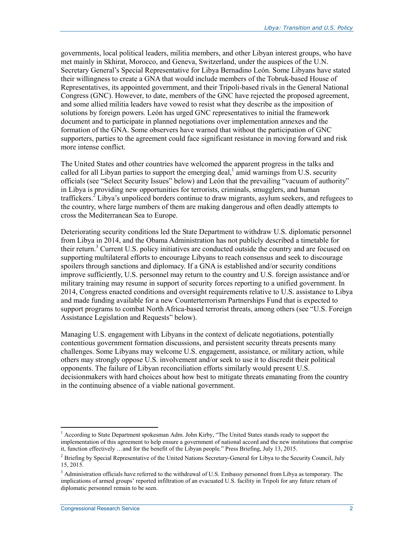governments, local political leaders, militia members, and other Libyan interest groups, who have met mainly in Skhirat, Morocco, and Geneva, Switzerland, under the auspices of the U.N. Secretary General's Special Representative for Libya Bernadino León. Some Libyans have stated their willingness to create a GNA that would include members of the Tobruk-based House of Representatives, its appointed government, and their Tripoli-based rivals in the General National Congress (GNC). However, to date, members of the GNC have rejected the proposed agreement, and some allied militia leaders have vowed to resist what they describe as the imposition of solutions by foreign powers. León has urged GNC representatives to initial the framework document and to participate in planned negotiations over implementation annexes and the formation of the GNA. Some observers have warned that without the participation of GNC supporters, parties to the agreement could face significant resistance in moving forward and risk more intense conflict.

The United States and other countries have welcomed the apparent progress in the talks and called for all Libyan parties to support the emerging deal, $\frac{1}{2}$  amid warnings from U.S. security officials (see "Select Security Issues" below) and León that the prevailing "vacuum of authority" in Libya is providing new opportunities for terrorists, criminals, smugglers, and human traffickers.<sup>2</sup> Libya's unpoliced borders continue to draw migrants, asylum seekers, and refugees to the country, where large numbers of them are making dangerous and often deadly attempts to cross the Mediterranean Sea to Europe.

Deteriorating security conditions led the State Department to withdraw U.S. diplomatic personnel from Libya in 2014, and the Obama Administration has not publicly described a timetable for their return.<sup>3</sup> Current U.S. policy initiatives are conducted outside the country and are focused on supporting multilateral efforts to encourage Libyans to reach consensus and seek to discourage spoilers through sanctions and diplomacy. If a GNA is established and/or security conditions improve sufficiently, U.S. personnel may return to the country and U.S. foreign assistance and/or military training may resume in support of security forces reporting to a unified government. In 2014, Congress enacted conditions and oversight requirements relative to U.S. assistance to Libya and made funding available for a new Counterterrorism Partnerships Fund that is expected to support programs to combat North Africa-based terrorist threats, among others (see "U.S. Foreign Assistance Legislation and Requests" below).

Managing U.S. engagement with Libyans in the context of delicate negotiations, potentially contentious government formation discussions, and persistent security threats presents many challenges. Some Libyans may welcome U.S. engagement, assistance, or military action, while others may strongly oppose U.S. involvement and/or seek to use it to discredit their political opponents. The failure of Libyan reconciliation efforts similarly would present U.S. decisionmakers with hard choices about how best to mitigate threats emanating from the country in the continuing absence of a viable national government.

<sup>&</sup>lt;sup>1</sup> According to State Department spokesman Adm. John Kirby, "The United States stands ready to support the implementation of this agreement to help ensure a government of national accord and the new institutions that comprise it, function effectively …and for the benefit of the Libyan people." Press Briefing, July 13, 2015.

<sup>&</sup>lt;sup>2</sup> Briefing by Special Representative of the United Nations Secretary-General for Libya to the Security Council, July 15, 2015.

<sup>&</sup>lt;sup>3</sup> Administration officials have referred to the withdrawal of U.S. Embassy personnel from Libya as temporary. The implications of armed groups' reported infiltration of an evacuated U.S. facility in Tripoli for any future return of diplomatic personnel remain to be seen.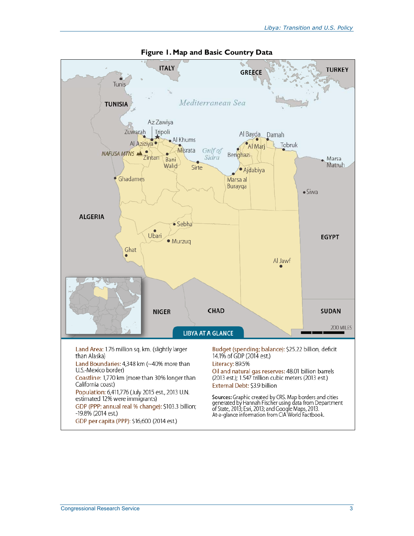

**Figure 1. Map and Basic Country Data**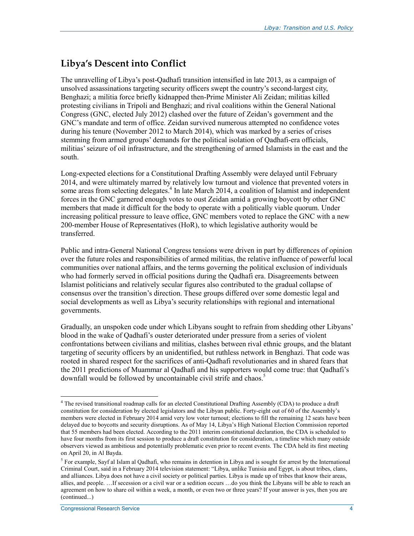### **Libya's Descent into Conflict**

The unravelling of Libya's post-Qadhafi transition intensified in late 2013, as a campaign of unsolved assassinations targeting security officers swept the country's second-largest city, Benghazi; a militia force briefly kidnapped then-Prime Minister Ali Zeidan; militias killed protesting civilians in Tripoli and Benghazi; and rival coalitions within the General National Congress (GNC, elected July 2012) clashed over the future of Zeidan's government and the GNC's mandate and term of office. Zeidan survived numerous attempted no confidence votes during his tenure (November 2012 to March 2014), which was marked by a series of crises stemming from armed groups' demands for the political isolation of Qadhafi-era officials, militias' seizure of oil infrastructure, and the strengthening of armed Islamists in the east and the south.

Long-expected elections for a Constitutional Drafting Assembly were delayed until February 2014, and were ultimately marred by relatively low turnout and violence that prevented voters in some areas from selecting delegates.<sup>4</sup> In late March 2014, a coalition of Islamist and independent forces in the GNC garnered enough votes to oust Zeidan amid a growing boycott by other GNC members that made it difficult for the body to operate with a politically viable quorum. Under increasing political pressure to leave office, GNC members voted to replace the GNC with a new 200-member House of Representatives (HoR), to which legislative authority would be transferred.

Public and intra-General National Congress tensions were driven in part by differences of opinion over the future roles and responsibilities of armed militias, the relative influence of powerful local communities over national affairs, and the terms governing the political exclusion of individuals who had formerly served in official positions during the Qadhafi era. Disagreements between Islamist politicians and relatively secular figures also contributed to the gradual collapse of consensus over the transition's direction. These groups differed over some domestic legal and social developments as well as Libya's security relationships with regional and international governments.

Gradually, an unspoken code under which Libyans sought to refrain from shedding other Libyans' blood in the wake of Qadhafi's ouster deteriorated under pressure from a series of violent confrontations between civilians and militias, clashes between rival ethnic groups, and the blatant targeting of security officers by an unidentified, but ruthless network in Benghazi. That code was rooted in shared respect for the sacrifices of anti-Qadhafi revolutionaries and in shared fears that the 2011 predictions of Muammar al Qadhafi and his supporters would come true: that Qadhafi's downfall would be followed by uncontainable civil strife and chaos.<sup>5</sup>

The revised transitional roadmap calls for an elected Constitutional Drafting Assembly (CDA) to produce a draft constitution for consideration by elected legislators and the Libyan public. Forty-eight out of 60 of the Assembly's members were elected in February 2014 amid very low voter turnout; elections to fill the remaining 12 seats have been delayed due to boycotts and security disruptions. As of May 14, Libya's High National Election Commission reported that 55 members had been elected. According to the 2011 interim constitutional declaration, the CDA is scheduled to have four months from its first session to produce a draft constitution for consideration, a timeline which many outside observers viewed as ambitious and potentially problematic even prior to recent events. The CDA held its first meeting on April 20, in Al Bayda.

<sup>&</sup>lt;sup>5</sup> For example, Sayf al Islam al Qadhafi, who remains in detention in Libya and is sought for arrest by the International Criminal Court, said in a February 2014 television statement: "Libya, unlike Tunisia and Egypt, is about tribes, clans, and alliances. Libya does not have a civil society or political parties. Libya is made up of tribes that know their areas, allies, and people. …If secession or a civil war or a sedition occurs …do you think the Libyans will be able to reach an agreement on how to share oil within a week, a month, or even two or three years? If your answer is yes, then you are (continued...)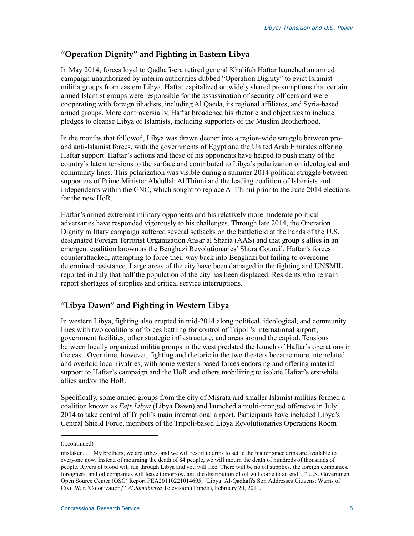#### **"Operation Dignity" and Fighting in Eastern Libya**

In May 2014, forces loyal to Qadhafi-era retired general Khalifah Haftar launched an armed campaign unauthorized by interim authorities dubbed "Operation Dignity" to evict Islamist militia groups from eastern Libya. Haftar capitalized on widely shared presumptions that certain armed Islamist groups were responsible for the assassination of security officers and were cooperating with foreign jihadists, including Al Qaeda, its regional affiliates, and Syria-based armed groups. More controversially, Haftar broadened his rhetoric and objectives to include pledges to cleanse Libya of Islamists, including supporters of the Muslim Brotherhood.

In the months that followed, Libya was drawn deeper into a region-wide struggle between proand anti-Islamist forces, with the governments of Egypt and the United Arab Emirates offering Haftar support. Haftar's actions and those of his opponents have helped to push many of the country's latent tensions to the surface and contributed to Libya's polarization on ideological and community lines. This polarization was visible during a summer 2014 political struggle between supporters of Prime Minister Abdullah Al Thinni and the leading coalition of Islamists and independents within the GNC, which sought to replace Al Thinni prior to the June 2014 elections for the new HoR.

Haftar's armed extremist military opponents and his relatively more moderate political adversaries have responded vigorously to his challenges. Through late 2014, the Operation Dignity military campaign suffered several setbacks on the battlefield at the hands of the U.S. designated Foreign Terrorist Organization Ansar al Sharia (AAS) and that group's allies in an emergent coalition known as the Benghazi Revolutionaries' Shura Council. Haftar's forces counterattacked, attempting to force their way back into Benghazi but failing to overcome determined resistance. Large areas of the city have been damaged in the fighting and UNSMIL reported in July that half the population of the city has been displaced. Residents who remain report shortages of supplies and critical service interruptions.

#### **"Libya Dawn" and Fighting in Western Libya**

In western Libya, fighting also erupted in mid-2014 along political, ideological, and community lines with two coalitions of forces battling for control of Tripoli's international airport, government facilities, other strategic infrastructure, and areas around the capital. Tensions between locally organized militia groups in the west predated the launch of Haftar's operations in the east. Over time, however, fighting and rhetoric in the two theaters became more interrelated and overlaid local rivalries, with some western-based forces endorsing and offering material support to Haftar's campaign and the HoR and others mobilizing to isolate Haftar's erstwhile allies and/or the HoR.

Specifically, some armed groups from the city of Misrata and smaller Islamist militias formed a coalition known as *Fajr Libya* (Libya Dawn) and launched a multi-pronged offensive in July 2014 to take control of Tripoli's main international airport. Participants have included Libya's Central Shield Force, members of the Tripoli-based Libya Revolutionaries Operations Room

 $\overline{\phantom{a}}$ 

<sup>(...</sup>continued)

mistaken. … My brothers, we are tribes, and we will resort to arms to settle the matter since arms are available to everyone now. Instead of mourning the death of 84 people, we will mourn the death of hundreds of thousands of people. Rivers of blood will run through Libya and you will flee. There will be no oil supplies, the foreign companies, foreigners, and oil companies will leave tomorrow, and the distribution of oil will come to an end…" U.S. Government Open Source Center (OSC) Report FEA20110221014695, "Libya: Al-Qadhafi's Son Addresses Citizens; Warns of Civil War, 'Colonization,'" *Al Jamahiriya* Television (Tripoli), February 20, 2011.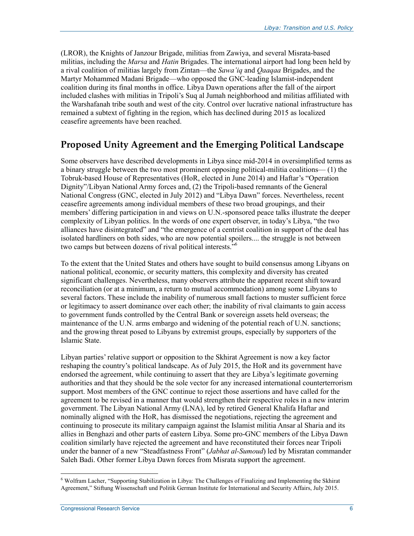(LROR), the Knights of Janzour Brigade, militias from Zawiya, and several Misrata-based militias, including the *Marsa* and *Hatin* Brigades. The international airport had long been held by a rival coalition of militias largely from Zintan—the *Sawa'iq* and *Qaaqaa* Brigades, and the Martyr Mohammed Madani Brigade—who opposed the GNC-leading Islamist-independent coalition during its final months in office. Libya Dawn operations after the fall of the airport included clashes with militias in Tripoli's Suq al Jumah neighborhood and militias affiliated with the Warshafanah tribe south and west of the city. Control over lucrative national infrastructure has remained a subtext of fighting in the region, which has declined during 2015 as localized ceasefire agreements have been reached.

### **Proposed Unity Agreement and the Emerging Political Landscape**

Some observers have described developments in Libya since mid-2014 in oversimplified terms as a binary struggle between the two most prominent opposing political-militia coalitions— (1) the Tobruk-based House of Representatives (HoR, elected in June 2014) and Haftar's "Operation Dignity"/Libyan National Army forces and, (2) the Tripoli-based remnants of the General National Congress (GNC, elected in July 2012) and "Libya Dawn" forces. Nevertheless, recent ceasefire agreements among individual members of these two broad groupings, and their members' differing participation in and views on U.N.-sponsored peace talks illustrate the deeper complexity of Libyan politics. In the words of one expert observer, in today's Libya, "the two alliances have disintegrated" and "the emergence of a centrist coalition in support of the deal has isolated hardliners on both sides, who are now potential spoilers.... the struggle is not between two camps but between dozens of rival political interests.<sup>556</sup>

To the extent that the United States and others have sought to build consensus among Libyans on national political, economic, or security matters, this complexity and diversity has created significant challenges. Nevertheless, many observers attribute the apparent recent shift toward reconciliation (or at a minimum, a return to mutual accommodation) among some Libyans to several factors. These include the inability of numerous small factions to muster sufficient force or legitimacy to assert dominance over each other; the inability of rival claimants to gain access to government funds controlled by the Central Bank or sovereign assets held overseas; the maintenance of the U.N. arms embargo and widening of the potential reach of U.N. sanctions; and the growing threat posed to Libyans by extremist groups, especially by supporters of the Islamic State.

Libyan parties' relative support or opposition to the Skhirat Agreement is now a key factor reshaping the country's political landscape. As of July 2015, the HoR and its government have endorsed the agreement, while continuing to assert that they are Libya's legitimate governing authorities and that they should be the sole vector for any increased international counterterrorism support. Most members of the GNC continue to reject those assertions and have called for the agreement to be revised in a manner that would strengthen their respective roles in a new interim government. The Libyan National Army (LNA), led by retired General Khalifa Haftar and nominally aligned with the HoR, has dismissed the negotiations, rejecting the agreement and continuing to prosecute its military campaign against the Islamist militia Ansar al Sharia and its allies in Benghazi and other parts of eastern Libya. Some pro-GNC members of the Libya Dawn coalition similarly have rejected the agreement and have reconstituted their forces near Tripoli under the banner of a new "Steadfastness Front" (*Jabhat al-Sumoud*) led by Misratan commander Saleh Badi. Other former Libya Dawn forces from Misrata support the agreement.

<sup>6</sup> Wolfram Lacher, "Supporting Stabilization in Libya: The Challenges of Finalizing and Implementing the Skhirat Agreement," Stiftung Wissenschaft und Politik German Institute for International and Security Affairs, July 2015.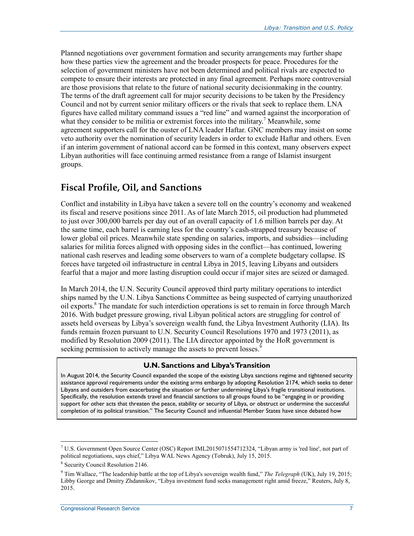Planned negotiations over government formation and security arrangements may further shape how these parties view the agreement and the broader prospects for peace. Procedures for the selection of government ministers have not been determined and political rivals are expected to compete to ensure their interests are protected in any final agreement. Perhaps more controversial are those provisions that relate to the future of national security decisionmaking in the country. The terms of the draft agreement call for major security decisions to be taken by the Presidency Council and not by current senior military officers or the rivals that seek to replace them. LNA figures have called military command issues a "red line" and warned against the incorporation of what they consider to be militia or extremist forces into the military.<sup>7</sup> Meanwhile, some agreement supporters call for the ouster of LNA leader Haftar. GNC members may insist on some veto authority over the nomination of security leaders in order to exclude Haftar and others. Even if an interim government of national accord can be formed in this context, many observers expect Libyan authorities will face continuing armed resistance from a range of Islamist insurgent groups.

#### **Fiscal Profile, Oil, and Sanctions**

Conflict and instability in Libya have taken a severe toll on the country's economy and weakened its fiscal and reserve positions since 2011. As of late March 2015, oil production had plummeted to just over 300,000 barrels per day out of an overall capacity of 1.6 million barrels per day. At the same time, each barrel is earning less for the country's cash-strapped treasury because of lower global oil prices. Meanwhile state spending on salaries, imports, and subsidies—including salaries for militia forces aligned with opposing sides in the conflict—has continued, lowering national cash reserves and leading some observers to warn of a complete budgetary collapse. IS forces have targeted oil infrastructure in central Libya in 2015, leaving Libyans and outsiders fearful that a major and more lasting disruption could occur if major sites are seized or damaged.

In March 2014, the U.N. Security Council approved third party military operations to interdict ships named by the U.N. Libya Sanctions Committee as being suspected of carrying unauthorized oil exports.<sup>8</sup> The mandate for such interdiction operations is set to remain in force through March 2016. With budget pressure growing, rival Libyan political actors are struggling for control of assets held overseas by Libya's sovereign wealth fund, the Libya Investment Authority (LIA). Its funds remain frozen pursuant to U.N. Security Council Resolutions 1970 and 1973 (2011), as modified by Resolution 2009 (2011). The LIA director appointed by the HoR government is seeking permission to actively manage the assets to prevent losses.<sup>9</sup>

#### **U.N. Sanctions and Libya's Transition**

In August 2014, the Security Council expanded the scope of the existing Libya sanctions regime and tightened security assistance approval requirements under the existing arms embargo by adopting Resolution 2174, which seeks to deter Libyans and outsiders from exacerbating the situation or further undermining Libya's fragile transitional institutions. Specifically, the resolution extends travel and financial sanctions to all groups found to be "engaging in or providing support for other acts that threaten the peace, stability or security of Libya, or obstruct or undermine the successful completion of its political transition." The Security Council and influential Member States have since debated how

<u>.</u>

<sup>7</sup> U.S. Government Open Source Center (OSC) Report IML2015071554712324, "Libyan army is 'red line', not part of political negotiations, says chief," Libya WAL News Agency (Tobruk), July 15, 2015.

<sup>8</sup> Security Council Resolution 2146.

<sup>9</sup> Tim Wallace, "The leadership battle at the top of Libya's sovereign wealth fund," *The Telegraph* (UK), July 19, 2015; Libby George and Dmitry Zhdannikov, "Libya investment fund seeks management right amid freeze," Reuters, July 8, 2015.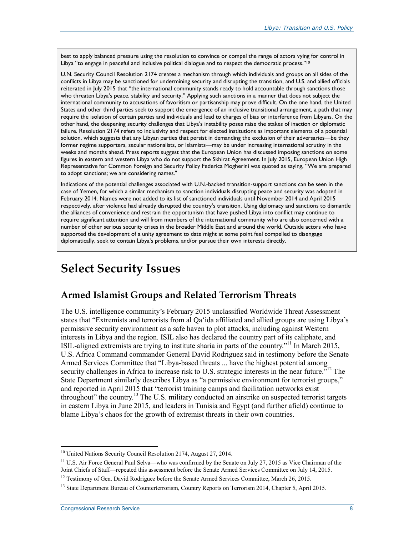best to apply balanced pressure using the resolution to convince or compel the range of actors vying for control in Libya "to engage in peaceful and inclusive political dialogue and to respect the democratic process."<sup>10</sup>

U.N. Security Council Resolution 2174 creates a mechanism through which individuals and groups on all sides of the conflicts in Libya may be sanctioned for undermining security and disrupting the transition, and U.S. and allied officials reiterated in July 2015 that "the international community stands ready to hold accountable through sanctions those who threaten Libya's peace, stability and security." Applying such sanctions in a manner that does not subject the international community to accusations of favoritism or partisanship may prove difficult. On the one hand, the United States and other third parties seek to support the emergence of an inclusive transitional arrangement, a path that may require the isolation of certain parties and individuals and lead to charges of bias or interference from Libyans. On the other hand, the deepening security challenges that Libya's instability poses raise the stakes of inaction or diplomatic failure. Resolution 2174 refers to inclusivity and respect for elected institutions as important elements of a potential solution, which suggests that any Libyan parties that persist in demanding the exclusion of their adversaries—be they former regime supporters, secular nationalists, or Islamists—may be under increasing international scrutiny in the weeks and months ahead. Press reports suggest that the European Union has discussed imposing sanctions on some figures in eastern and western Libya who do not support the Skhirat Agreement. In July 2015, European Union High Representative for Common Foreign and Security Policy Federica Mogherini was quoted as saying, "We are prepared to adopt sanctions; we are considering names."

Indications of the potential challenges associated with U.N.-backed transition-support sanctions can be seen in the case of Yemen, for which a similar mechanism to sanction individuals disrupting peace and security was adopted in February 2014. Names were not added to its list of sanctioned individuals until November 2014 and April 2015 respectively, after violence had already disrupted the country's transition. Using diplomacy and sanctions to dismantle the alliances of convenience and restrain the opportunism that have pushed Libya into conflict may continue to require significant attention and will from members of the international community who are also concerned with a number of other serious security crises in the broader Middle East and around the world. Outside actors who have supported the development of a unity agreement to date might at some point feel compelled to disengage diplomatically, seek to contain Libya's problems, and/or pursue their own interests directly.

### **Select Security Issues**

#### **Armed Islamist Groups and Related Terrorism Threats**

The U.S. intelligence community's February 2015 unclassified Worldwide Threat Assessment states that "Extremists and terrorists from al Qa'ida affiliated and allied groups are using Libya's permissive security environment as a safe haven to plot attacks, including against Western interests in Libya and the region. ISIL also has declared the country part of its caliphate, and ISIL-aligned extremists are trying to institute sharia in parts of the country."11 In March 2015, U.S. Africa Command commander General David Rodriguez said in testimony before the Senate Armed Services Committee that "Libya-based threats ... have the highest potential among security challenges in Africa to increase risk to U.S. strategic interests in the near future.<sup>"12</sup> The State Department similarly describes Libya as "a permissive environment for terrorist groups," and reported in April 2015 that "terrorist training camps and facilitation networks exist throughout" the country.<sup>13</sup> The U.S. military conducted an airstrike on suspected terrorist targets in eastern Libya in June 2015, and leaders in Tunisia and Egypt (and further afield) continue to blame Libya's chaos for the growth of extremist threats in their own countries.

<sup>&</sup>lt;sup>10</sup> United Nations Security Council Resolution 2174, August 27, 2014.

<sup>&</sup>lt;sup>11</sup> U.S. Air Force General Paul Selva—who was confirmed by the Senate on July 27, 2015 as Vice Chairman of the Joint Chiefs of Staff—repeated this assessment before the Senate Armed Services Committee on July 14, 2015.

<sup>&</sup>lt;sup>12</sup> Testimony of Gen. David Rodriguez before the Senate Armed Services Committee, March 26, 2015.

<sup>&</sup>lt;sup>13</sup> State Department Bureau of Counterterrorism, Country Reports on Terrorism 2014, Chapter 5, April 2015.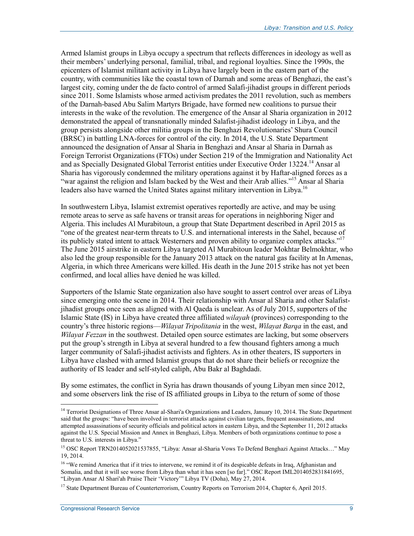Armed Islamist groups in Libya occupy a spectrum that reflects differences in ideology as well as their members' underlying personal, familial, tribal, and regional loyalties. Since the 1990s, the epicenters of Islamist militant activity in Libya have largely been in the eastern part of the country, with communities like the coastal town of Darnah and some areas of Benghazi, the east's largest city, coming under the de facto control of armed Salafi-jihadist groups in different periods since 2011. Some Islamists whose armed activism predates the 2011 revolution, such as members of the Darnah-based Abu Salim Martyrs Brigade, have formed new coalitions to pursue their interests in the wake of the revolution. The emergence of the Ansar al Sharia organization in 2012 demonstrated the appeal of transnationally minded Salafist-jihadist ideology in Libya, and the group persists alongside other militia groups in the Benghazi Revolutionaries' Shura Council (BRSC) in battling LNA-forces for control of the city. In 2014, the U.S. State Department announced the designation of Ansar al Sharia in Benghazi and Ansar al Sharia in Darnah as Foreign Terrorist Organizations (FTOs) under Section 219 of the Immigration and Nationality Act and as Specially Designated Global Terrorist entities under Executive Order 13224.<sup>14</sup> Ansar al Sharia has vigorously condemned the military operations against it by Haftar-aligned forces as a "war against the religion and Islam backed by the West and their Arab allies."<sup>15</sup> Ansar al Sharia leaders also have warned the United States against military intervention in Libya.<sup>16</sup>

In southwestern Libya, Islamist extremist operatives reportedly are active, and may be using remote areas to serve as safe havens or transit areas for operations in neighboring Niger and Algeria. This includes Al Murabitoun, a group that State Department described in April 2015 as "one of the greatest near-term threats to U.S. and international interests in the Sahel, because of its publicly stated intent to attack Westerners and proven ability to organize complex attacks."17 The June 2015 airstrike in eastern Libya targeted Al Murabitoun leader Mokhtar Belmokhtar, who also led the group responsible for the January 2013 attack on the natural gas facility at In Amenas, Algeria, in which three Americans were killed. His death in the June 2015 strike has not yet been confirmed, and local allies have denied he was killed.

Supporters of the Islamic State organization also have sought to assert control over areas of Libya since emerging onto the scene in 2014. Their relationship with Ansar al Sharia and other Salafistjihadist groups once seen as aligned with Al Qaeda is unclear. As of July 2015, supporters of the Islamic State (IS) in Libya have created three affiliated *wilayah* (provinces) corresponding to the country's three historic regions—*Wilayat Tripolitania* in the west, *Wilayat Barqa* in the east, and *Wilayat Fezzan* in the southwest. Detailed open source estimates are lacking, but some observers put the group's strength in Libya at several hundred to a few thousand fighters among a much larger community of Salafi-jihadist activists and fighters. As in other theaters, IS supporters in Libya have clashed with armed Islamist groups that do not share their beliefs or recognize the authority of IS leader and self-styled caliph, Abu Bakr al Baghdadi.

By some estimates, the conflict in Syria has drawn thousands of young Libyan men since 2012, and some observers link the rise of IS affiliated groups in Libya to the return of some of those

<u>.</u>

<sup>&</sup>lt;sup>14</sup> Terrorist Designations of Three Ansar al-Shari'a Organizations and Leaders, January 10, 2014. The State Department said that the groups: "have been involved in terrorist attacks against civilian targets, frequent assassinations, and attempted assassinations of security officials and political actors in eastern Libya, and the September 11, 2012 attacks against the U.S. Special Mission and Annex in Benghazi, Libya. Members of both organizations continue to pose a threat to U.S. interests in Libya."

<sup>&</sup>lt;sup>15</sup> OSC Report TRN2014052021537855, "Libya: Ansar al-Sharia Vows To Defend Benghazi Against Attacks..." May 19, 2014.

<sup>&</sup>lt;sup>16</sup> "We remind America that if it tries to intervene, we remind it of its despicable defeats in Iraq, Afghanistan and Somalia, and that it will see worse from Libya than what it has seen [so far]." OSC Report IML2014052831841695, "Libyan Ansar Al Shari'ah Praise Their 'Victory'" Libya TV (Doha), May 27, 2014.

<sup>&</sup>lt;sup>17</sup> State Department Bureau of Counterterrorism, Country Reports on Terrorism 2014, Chapter 6, April 2015.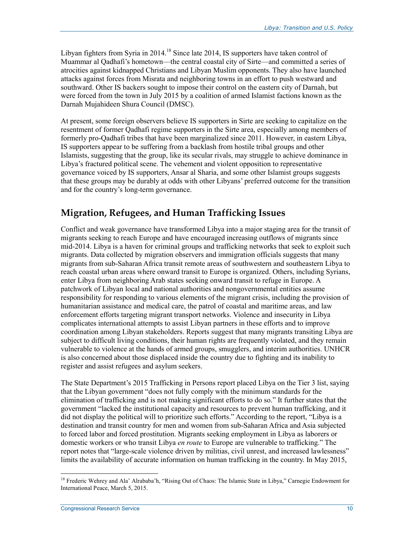Libyan fighters from Syria in 2014.<sup>18</sup> Since late 2014, IS supporters have taken control of Muammar al Qadhafi's hometown—the central coastal city of Sirte—and committed a series of atrocities against kidnapped Christians and Libyan Muslim opponents. They also have launched attacks against forces from Misrata and neighboring towns in an effort to push westward and southward. Other IS backers sought to impose their control on the eastern city of Darnah, but were forced from the town in July 2015 by a coalition of armed Islamist factions known as the Darnah Mujahideen Shura Council (DMSC).

At present, some foreign observers believe IS supporters in Sirte are seeking to capitalize on the resentment of former Qadhafi regime supporters in the Sirte area, especially among members of formerly pro-Qadhafi tribes that have been marginalized since 2011. However, in eastern Libya, IS supporters appear to be suffering from a backlash from hostile tribal groups and other Islamists, suggesting that the group, like its secular rivals, may struggle to achieve dominance in Libya's fractured political scene. The vehement and violent opposition to representative governance voiced by IS supporters, Ansar al Sharia, and some other Islamist groups suggests that these groups may be durably at odds with other Libyans' preferred outcome for the transition and for the country's long-term governance.

#### **Migration, Refugees, and Human Trafficking Issues**

Conflict and weak governance have transformed Libya into a major staging area for the transit of migrants seeking to reach Europe and have encouraged increasing outflows of migrants since mid-2014. Libya is a haven for criminal groups and trafficking networks that seek to exploit such migrants. Data collected by migration observers and immigration officials suggests that many migrants from sub-Saharan Africa transit remote areas of southwestern and southeastern Libya to reach coastal urban areas where onward transit to Europe is organized. Others, including Syrians, enter Libya from neighboring Arab states seeking onward transit to refuge in Europe. A patchwork of Libyan local and national authorities and nongovernmental entities assume responsibility for responding to various elements of the migrant crisis, including the provision of humanitarian assistance and medical care, the patrol of coastal and maritime areas, and law enforcement efforts targeting migrant transport networks. Violence and insecurity in Libya complicates international attempts to assist Libyan partners in these efforts and to improve coordination among Libyan stakeholders. Reports suggest that many migrants transiting Libya are subject to difficult living conditions, their human rights are frequently violated, and they remain vulnerable to violence at the hands of armed groups, smugglers, and interim authorities. UNHCR is also concerned about those displaced inside the country due to fighting and its inability to register and assist refugees and asylum seekers.

The State Department's 2015 Trafficking in Persons report placed Libya on the Tier 3 list, saying that the Libyan government "does not fully comply with the minimum standards for the elimination of trafficking and is not making significant efforts to do so." It further states that the government "lacked the institutional capacity and resources to prevent human trafficking, and it did not display the political will to prioritize such efforts." According to the report, "Libya is a destination and transit country for men and women from sub-Saharan Africa and Asia subjected to forced labor and forced prostitution. Migrants seeking employment in Libya as laborers or domestic workers or who transit Libya *en route* to Europe are vulnerable to trafficking." The report notes that "large-scale violence driven by militias, civil unrest, and increased lawlessness" limits the availability of accurate information on human trafficking in the country. In May 2015,

<sup>&</sup>lt;sup>18</sup> Frederic Wehrey and Ala' Alrababa'h, "Rising Out of Chaos: The Islamic State in Libya," Carnegie Endowment for International Peace, March 5, 2015.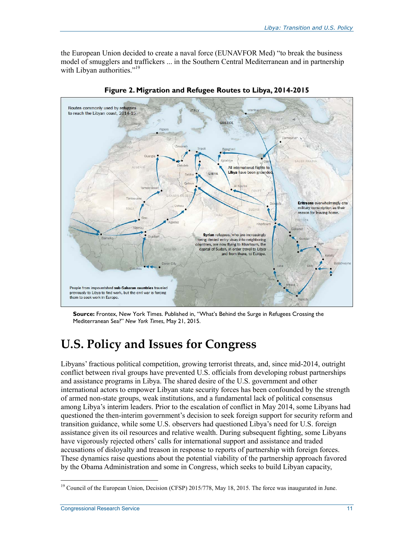the European Union decided to create a naval force (EUNAVFOR Med) "to break the business model of smugglers and traffickers ... in the Southern Central Mediterranean and in partnership with Libyan authorities."<sup>19</sup>



**Figure 2. Migration and Refugee Routes to Libya, 2014-2015** 

**Source:** Frontex, New York Times. Published in, "What's Behind the Surge in Refugees Crossing the Mediterranean Sea?" *New York Times*, May 21, 2015.

## **U.S. Policy and Issues for Congress**

Libyans' fractious political competition, growing terrorist threats, and, since mid-2014, outright conflict between rival groups have prevented U.S. officials from developing robust partnerships and assistance programs in Libya. The shared desire of the U.S. government and other international actors to empower Libyan state security forces has been confounded by the strength of armed non-state groups, weak institutions, and a fundamental lack of political consensus among Libya's interim leaders. Prior to the escalation of conflict in May 2014, some Libyans had questioned the then-interim government's decision to seek foreign support for security reform and transition guidance, while some U.S. observers had questioned Libya's need for U.S. foreign assistance given its oil resources and relative wealth. During subsequent fighting, some Libyans have vigorously rejected others' calls for international support and assistance and traded accusations of disloyalty and treason in response to reports of partnership with foreign forces. These dynamics raise questions about the potential viability of the partnership approach favored by the Obama Administration and some in Congress, which seeks to build Libyan capacity,

<sup>&</sup>lt;u>.</u> <sup>19</sup> Council of the European Union, Decision (CFSP) 2015/778, May 18, 2015. The force was inaugurated in June.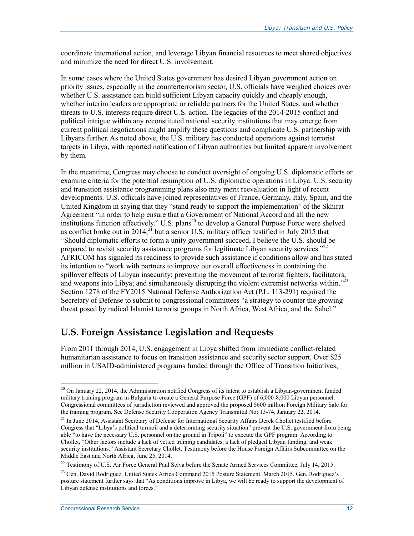coordinate international action, and leverage Libyan financial resources to meet shared objectives and minimize the need for direct U.S. involvement.

In some cases where the United States government has desired Libyan government action on priority issues, especially in the counterterrorism sector, U.S. officials have weighed choices over whether U.S. assistance can build sufficient Libyan capacity quickly and cheaply enough, whether interim leaders are appropriate or reliable partners for the United States, and whether threats to U.S. interests require direct U.S. action. The legacies of the 2014-2015 conflict and political intrigue within any reconstituted national security institutions that may emerge from current political negotiations might amplify these questions and complicate U.S. partnership with Libyans further. As noted above, the U.S. military has conducted operations against terrorist targets in Libya, with reported notification of Libyan authorities but limited apparent involvement by them.

In the meantime, Congress may choose to conduct oversight of ongoing U.S. diplomatic efforts or examine criteria for the potential resumption of U.S. diplomatic operations in Libya. U.S. security and transition assistance programming plans also may merit reevaluation in light of recent developments. U.S. officials have joined representatives of France, Germany, Italy, Spain, and the United Kingdom in saying that they "stand ready to support the implementation" of the Skhirat Agreement "in order to help ensure that a Government of National Accord and all the new institutions function effectively." U.S. plans<sup>20</sup> to develop a General Purpose Force were shelved as conflict broke out in  $2014$ ,<sup>21</sup> but a senior U.S. military officer testified in July 2015 that "Should diplomatic efforts to form a unity government succeed, I believe the U.S. should be prepared to revisit security assistance programs for legitimate Libyan security services."<sup>22</sup> AFRICOM has signaled its readiness to provide such assistance if conditions allow and has stated its intention to "work with partners to improve our overall effectiveness in containing the spillover effects of Libyan insecurity; preventing the movement of terrorist fighters, facilitators, and weapons into Libya; and simultaneously disrupting the violent extremist networks within."<sup>23</sup> Section 1278 of the FY2015 National Defense Authorization Act (P.L. 113-291) required the Secretary of Defense to submit to congressional committees "a strategy to counter the growing threat posed by radical Islamist terrorist groups in North Africa, West Africa, and the Sahel."

#### **U.S. Foreign Assistance Legislation and Requests**

From 2011 through 2014, U.S. engagement in Libya shifted from immediate conflict-related humanitarian assistance to focus on transition assistance and security sector support. Over \$25 million in USAID-administered programs funded through the Office of Transition Initiatives,

<sup>&</sup>lt;sup>20</sup> On January 22, 2014, the Administration notified Congress of its intent to establish a Libyan-government funded military training program in Bulgaria to create a General Purpose Force (GPF) of 6,000-8,000 Libyan personnel. Congressional committees of jurisdiction reviewed and approved the proposed \$600 million Foreign Military Sale for the training program. See Defense Security Cooperation Agency Transmittal No: 13-74, January 22, 2014.

<sup>&</sup>lt;sup>21</sup> In June 2014, Assistant Secretary of Defense for International Security Affairs Derek Chollet testified before Congress that "Libya's political turmoil and a deteriorating security situation" prevent the U.S. government from being able "to have the necessary U.S. personnel on the ground in Tripoli" to execute the GPF program. According to Chollet, "Other factors include a lack of vetted training candidates, a lack of pledged Libyan funding, and weak security institutions." Assistant Secretary Chollet, Testimony before the House Foreign Affairs Subcommittee on the Middle East and North Africa, June 25, 2014.

<sup>&</sup>lt;sup>22</sup> Testimony of U.S. Air Force General Paul Selva before the Senate Armed Services Committee, July 14, 2015.

<sup>&</sup>lt;sup>23</sup> Gen. David Rodriguez, United States Africa Command 2015 Posture Statement, March 2015. Gen. Rodriguez's posture statement further says that "As conditions improve in Libya, we will be ready to support the development of Libyan defense institutions and forces."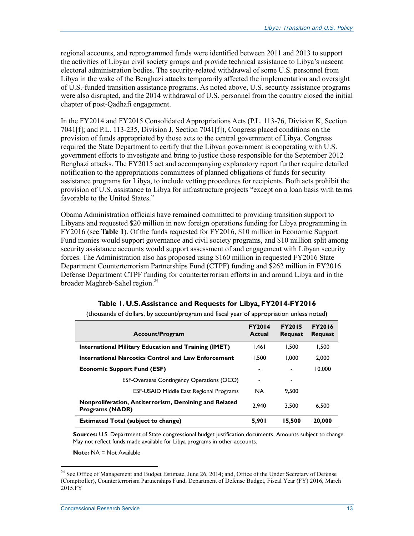regional accounts, and reprogrammed funds were identified between 2011 and 2013 to support the activities of Libyan civil society groups and provide technical assistance to Libya's nascent electoral administration bodies. The security-related withdrawal of some U.S. personnel from Libya in the wake of the Benghazi attacks temporarily affected the implementation and oversight of U.S.-funded transition assistance programs. As noted above, U.S. security assistance programs were also disrupted, and the 2014 withdrawal of U.S. personnel from the country closed the initial chapter of post-Qadhafi engagement.

In the FY2014 and FY2015 Consolidated Appropriations Acts (P.L. 113-76, Division K, Section 7041[f]; and P.L. 113-235, Division J, Section 7041[f]), Congress placed conditions on the provision of funds appropriated by those acts to the central government of Libya. Congress required the State Department to certify that the Libyan government is cooperating with U.S. government efforts to investigate and bring to justice those responsible for the September 2012 Benghazi attacks. The FY2015 act and accompanying explanatory report further require detailed notification to the appropriations committees of planned obligations of funds for security assistance programs for Libya, to include vetting procedures for recipients. Both acts prohibit the provision of U.S. assistance to Libya for infrastructure projects "except on a loan basis with terms favorable to the United States."

Obama Administration officials have remained committed to providing transition support to Libyans and requested \$20 million in new foreign operations funding for Libya programming in FY2016 (see **Table 1**). Of the funds requested for FY2016, \$10 million in Economic Support Fund monies would support governance and civil society programs, and \$10 million split among security assistance accounts would support assessment of and engagement with Libyan security forces. The Administration also has proposed using \$160 million in requested FY2016 State Department Counterterrorism Partnerships Fund (CTPF) funding and \$262 million in FY2016 Defense Department CTPF funding for counterterrorism efforts in and around Libya and in the broader Maghreb-Sahel region.<sup>24</sup>

| <b>Account/Program</b>                                                          | <b>FY2014</b><br>Actual | <b>FY2015</b><br><b>Request</b> | <b>FY2016</b><br><b>Request</b> |
|---------------------------------------------------------------------------------|-------------------------|---------------------------------|---------------------------------|
| <b>International Military Education and Training (IMET)</b>                     | 1.461                   | 1.500                           | 1.500                           |
| <b>International Narcotics Control and Law Enforcement</b>                      | 1.500                   | 1.000                           | 2.000                           |
| <b>Economic Support Fund (ESF)</b>                                              | $\blacksquare$          |                                 | 10.000                          |
| <b>ESF-Overseas Contingency Operations (OCO)</b>                                | $\blacksquare$          | ۰                               |                                 |
| <b>ESF-USAID Middle East Regional Programs</b>                                  | <b>NA</b>               | 9.500                           |                                 |
| Nonproliferation, Antiterrorism, Demining and Related<br><b>Programs (NADR)</b> | 2.940                   | 3.500                           | 6.500                           |
| <b>Estimated Total (subject to change)</b>                                      | 5.901                   | 15.500                          | 20,000                          |

**Table 1. U.S. Assistance and Requests for Libya, FY2014-FY2016**  (thousands of dollars, by account/program and fiscal year of appropriation unless noted)

**Sources:** U.S. Department of State congressional budget justification documents. Amounts subject to change. May not reflect funds made available for Libya programs in other accounts.

**Note:** NA = Not Available

<u>.</u>

<sup>&</sup>lt;sup>24</sup> See Office of Management and Budget Estimate, June 26, 2014; and, Office of the Under Secretary of Defense (Comptroller), Counterterrorism Partnerships Fund, Department of Defense Budget, Fiscal Year (FY) 2016, March 2015.FY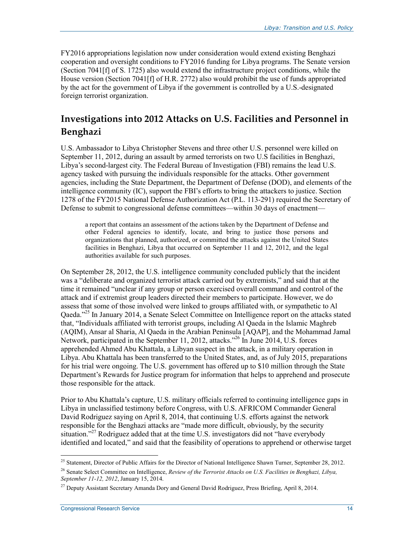FY2016 appropriations legislation now under consideration would extend existing Benghazi cooperation and oversight conditions to FY2016 funding for Libya programs. The Senate version (Section 7041[f] of S. 1725) also would extend the infrastructure project conditions, while the House version (Section 7041[f] of H.R. 2772) also would prohibit the use of funds appropriated by the act for the government of Libya if the government is controlled by a U.S.-designated foreign terrorist organization.

### **Investigations into 2012 Attacks on U.S. Facilities and Personnel in Benghazi**

U.S. Ambassador to Libya Christopher Stevens and three other U.S. personnel were killed on September 11, 2012, during an assault by armed terrorists on two U.S facilities in Benghazi, Libya's second-largest city. The Federal Bureau of Investigation (FBI) remains the lead U.S. agency tasked with pursuing the individuals responsible for the attacks. Other government agencies, including the State Department, the Department of Defense (DOD), and elements of the intelligence community (IC), support the FBI's efforts to bring the attackers to justice. Section 1278 of the FY2015 National Defense Authorization Act (P.L. 113-291) required the Secretary of Defense to submit to congressional defense committees—within 30 days of enactment—

a report that contains an assessment of the actions taken by the Department of Defense and other Federal agencies to identify, locate, and bring to justice those persons and organizations that planned, authorized, or committed the attacks against the United States facilities in Benghazi, Libya that occurred on September 11 and 12, 2012, and the legal authorities available for such purposes.

On September 28, 2012, the U.S. intelligence community concluded publicly that the incident was a "deliberate and organized terrorist attack carried out by extremists," and said that at the time it remained "unclear if any group or person exercised overall command and control of the attack and if extremist group leaders directed their members to participate. However, we do assess that some of those involved were linked to groups affiliated with, or sympathetic to Al Qaeda."<sup>25</sup> In January 2014, a Senate Select Committee on Intelligence report on the attacks stated that, "Individuals affiliated with terrorist groups, including Al Qaeda in the Islamic Maghreb (AQIM), Ansar al Sharia, Al Qaeda in the Arabian Peninsula [AQAP], and the Mohammad Jamal Network, participated in the September 11, 2012, attacks."<sup>26</sup> In June 2014, U.S. forces apprehended Ahmed Abu Khattala, a Libyan suspect in the attack, in a military operation in Libya. Abu Khattala has been transferred to the United States, and, as of July 2015, preparations for his trial were ongoing. The U.S. government has offered up to \$10 million through the State Department's Rewards for Justice program for information that helps to apprehend and prosecute those responsible for the attack.

Prior to Abu Khattala's capture, U.S. military officials referred to continuing intelligence gaps in Libya in unclassified testimony before Congress, with U.S. AFRICOM Commander General David Rodriguez saying on April 8, 2014, that continuing U.S. efforts against the network responsible for the Benghazi attacks are "made more difficult, obviously, by the security situation."<sup>27</sup> Rodriguez added that at the time U.S. investigators did not "have everybody identified and located," and said that the feasibility of operations to apprehend or otherwise target

<sup>&</sup>lt;u>.</u> <sup>25</sup> Statement, Director of Public Affairs for the Director of National Intelligence Shawn Turner, September 28, 2012.

<sup>26</sup> Senate Select Committee on Intelligence, *Review of the Terrorist Attacks on U.S. Facilities in Benghazi, Libya, September 11-12, 2012*, January 15, 2014.

<sup>&</sup>lt;sup>27</sup> Deputy Assistant Secretary Amanda Dory and General David Rodriguez, Press Briefing, April 8, 2014.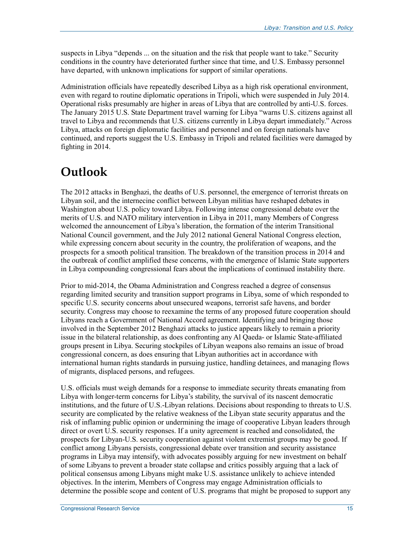suspects in Libya "depends ... on the situation and the risk that people want to take." Security conditions in the country have deteriorated further since that time, and U.S. Embassy personnel have departed, with unknown implications for support of similar operations.

Administration officials have repeatedly described Libya as a high risk operational environment, even with regard to routine diplomatic operations in Tripoli, which were suspended in July 2014. Operational risks presumably are higher in areas of Libya that are controlled by anti-U.S. forces. The January 2015 U.S. State Department travel warning for Libya "warns U.S. citizens against all travel to Libya and recommends that U.S. citizens currently in Libya depart immediately." Across Libya, attacks on foreign diplomatic facilities and personnel and on foreign nationals have continued, and reports suggest the U.S. Embassy in Tripoli and related facilities were damaged by fighting in 2014.

## **Outlook**

The 2012 attacks in Benghazi, the deaths of U.S. personnel, the emergence of terrorist threats on Libyan soil, and the internecine conflict between Libyan militias have reshaped debates in Washington about U.S. policy toward Libya. Following intense congressional debate over the merits of U.S. and NATO military intervention in Libya in 2011, many Members of Congress welcomed the announcement of Libya's liberation, the formation of the interim Transitional National Council government, and the July 2012 national General National Congress election, while expressing concern about security in the country, the proliferation of weapons, and the prospects for a smooth political transition. The breakdown of the transition process in 2014 and the outbreak of conflict amplified these concerns, with the emergence of Islamic State supporters in Libya compounding congressional fears about the implications of continued instability there.

Prior to mid-2014, the Obama Administration and Congress reached a degree of consensus regarding limited security and transition support programs in Libya, some of which responded to specific U.S. security concerns about unsecured weapons, terrorist safe havens, and border security. Congress may choose to reexamine the terms of any proposed future cooperation should Libyans reach a Government of National Accord agreement. Identifying and bringing those involved in the September 2012 Benghazi attacks to justice appears likely to remain a priority issue in the bilateral relationship, as does confronting any Al Qaeda- or Islamic State-affiliated groups present in Libya. Securing stockpiles of Libyan weapons also remains an issue of broad congressional concern, as does ensuring that Libyan authorities act in accordance with international human rights standards in pursuing justice, handling detainees, and managing flows of migrants, displaced persons, and refugees.

U.S. officials must weigh demands for a response to immediate security threats emanating from Libya with longer-term concerns for Libya's stability, the survival of its nascent democratic institutions, and the future of U.S.-Libyan relations. Decisions about responding to threats to U.S. security are complicated by the relative weakness of the Libyan state security apparatus and the risk of inflaming public opinion or undermining the image of cooperative Libyan leaders through direct or overt U.S. security responses. If a unity agreement is reached and consolidated, the prospects for Libyan-U.S. security cooperation against violent extremist groups may be good. If conflict among Libyans persists, congressional debate over transition and security assistance programs in Libya may intensify, with advocates possibly arguing for new investment on behalf of some Libyans to prevent a broader state collapse and critics possibly arguing that a lack of political consensus among Libyans might make U.S. assistance unlikely to achieve intended objectives. In the interim, Members of Congress may engage Administration officials to determine the possible scope and content of U.S. programs that might be proposed to support any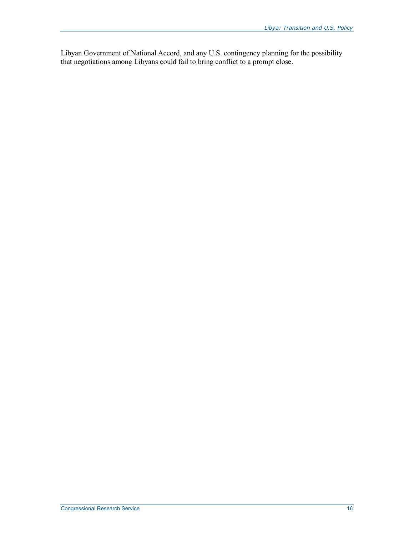Libyan Government of National Accord, and any U.S. contingency planning for the possibility that negotiations among Libyans could fail to bring conflict to a prompt close.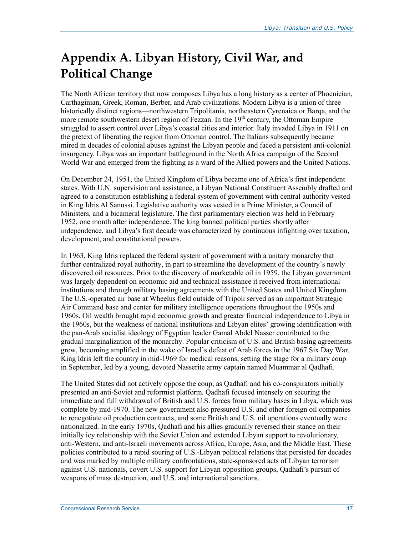## **Appendix A. Libyan History, Civil War, and Political Change**

The North African territory that now composes Libya has a long history as a center of Phoenician, Carthaginian, Greek, Roman, Berber, and Arab civilizations. Modern Libya is a union of three historically distinct regions—northwestern Tripolitania, northeastern Cyrenaica or Barqa, and the more remote southwestern desert region of Fezzan. In the  $19<sup>th</sup>$  century, the Ottoman Empire struggled to assert control over Libya's coastal cities and interior. Italy invaded Libya in 1911 on the pretext of liberating the region from Ottoman control. The Italians subsequently became mired in decades of colonial abuses against the Libyan people and faced a persistent anti-colonial insurgency. Libya was an important battleground in the North Africa campaign of the Second World War and emerged from the fighting as a ward of the Allied powers and the United Nations.

On December 24, 1951, the United Kingdom of Libya became one of Africa's first independent states. With U.N. supervision and assistance, a Libyan National Constituent Assembly drafted and agreed to a constitution establishing a federal system of government with central authority vested in King Idris Al Sanussi. Legislative authority was vested in a Prime Minister, a Council of Ministers, and a bicameral legislature. The first parliamentary election was held in February 1952, one month after independence. The king banned political parties shortly after independence, and Libya's first decade was characterized by continuous infighting over taxation, development, and constitutional powers.

In 1963, King Idris replaced the federal system of government with a unitary monarchy that further centralized royal authority, in part to streamline the development of the country's newly discovered oil resources. Prior to the discovery of marketable oil in 1959, the Libyan government was largely dependent on economic aid and technical assistance it received from international institutions and through military basing agreements with the United States and United Kingdom. The U.S.-operated air base at Wheelus field outside of Tripoli served as an important Strategic Air Command base and center for military intelligence operations throughout the 1950s and 1960s. Oil wealth brought rapid economic growth and greater financial independence to Libya in the 1960s, but the weakness of national institutions and Libyan elites' growing identification with the pan-Arab socialist ideology of Egyptian leader Gamal Abdel Nasser contributed to the gradual marginalization of the monarchy. Popular criticism of U.S. and British basing agreements grew, becoming amplified in the wake of Israel's defeat of Arab forces in the 1967 Six Day War. King Idris left the country in mid-1969 for medical reasons, setting the stage for a military coup in September, led by a young, devoted Nasserite army captain named Muammar al Qadhafi.

The United States did not actively oppose the coup, as Qadhafi and his co-conspirators initially presented an anti-Soviet and reformist platform. Qadhafi focused intensely on securing the immediate and full withdrawal of British and U.S. forces from military bases in Libya, which was complete by mid-1970. The new government also pressured U.S. and other foreign oil companies to renegotiate oil production contracts, and some British and U.S. oil operations eventually were nationalized. In the early 1970s, Qadhafi and his allies gradually reversed their stance on their initially icy relationship with the Soviet Union and extended Libyan support to revolutionary, anti-Western, and anti-Israeli movements across Africa, Europe, Asia, and the Middle East. These policies contributed to a rapid souring of U.S.-Libyan political relations that persisted for decades and was marked by multiple military confrontations, state-sponsored acts of Libyan terrorism against U.S. nationals, covert U.S. support for Libyan opposition groups, Qadhafi's pursuit of weapons of mass destruction, and U.S. and international sanctions.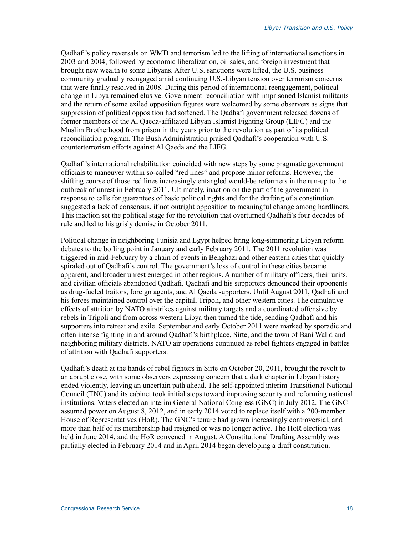Qadhafi's policy reversals on WMD and terrorism led to the lifting of international sanctions in 2003 and 2004, followed by economic liberalization, oil sales, and foreign investment that brought new wealth to some Libyans. After U.S. sanctions were lifted, the U.S. business community gradually reengaged amid continuing U.S.-Libyan tension over terrorism concerns that were finally resolved in 2008. During this period of international reengagement, political change in Libya remained elusive. Government reconciliation with imprisoned Islamist militants and the return of some exiled opposition figures were welcomed by some observers as signs that suppression of political opposition had softened. The Qadhafi government released dozens of former members of the Al Qaeda-affiliated Libyan Islamist Fighting Group (LIFG) and the Muslim Brotherhood from prison in the years prior to the revolution as part of its political reconciliation program. The Bush Administration praised Qadhafi's cooperation with U.S. counterterrorism efforts against Al Qaeda and the LIFG.

Qadhafi's international rehabilitation coincided with new steps by some pragmatic government officials to maneuver within so-called "red lines" and propose minor reforms. However, the shifting course of those red lines increasingly entangled would-be reformers in the run-up to the outbreak of unrest in February 2011. Ultimately, inaction on the part of the government in response to calls for guarantees of basic political rights and for the drafting of a constitution suggested a lack of consensus, if not outright opposition to meaningful change among hardliners. This inaction set the political stage for the revolution that overturned Qadhafi's four decades of rule and led to his grisly demise in October 2011.

Political change in neighboring Tunisia and Egypt helped bring long-simmering Libyan reform debates to the boiling point in January and early February 2011. The 2011 revolution was triggered in mid-February by a chain of events in Benghazi and other eastern cities that quickly spiraled out of Qadhafi's control. The government's loss of control in these cities became apparent, and broader unrest emerged in other regions. A number of military officers, their units, and civilian officials abandoned Qadhafi. Qadhafi and his supporters denounced their opponents as drug-fueled traitors, foreign agents, and Al Qaeda supporters. Until August 2011, Qadhafi and his forces maintained control over the capital, Tripoli, and other western cities. The cumulative effects of attrition by NATO airstrikes against military targets and a coordinated offensive by rebels in Tripoli and from across western Libya then turned the tide, sending Qadhafi and his supporters into retreat and exile. September and early October 2011 were marked by sporadic and often intense fighting in and around Qadhafi's birthplace, Sirte, and the town of Bani Walid and neighboring military districts. NATO air operations continued as rebel fighters engaged in battles of attrition with Qadhafi supporters.

Qadhafi's death at the hands of rebel fighters in Sirte on October 20, 2011, brought the revolt to an abrupt close, with some observers expressing concern that a dark chapter in Libyan history ended violently, leaving an uncertain path ahead. The self-appointed interim Transitional National Council (TNC) and its cabinet took initial steps toward improving security and reforming national institutions. Voters elected an interim General National Congress (GNC) in July 2012. The GNC assumed power on August 8, 2012, and in early 2014 voted to replace itself with a 200-member House of Representatives (HoR). The GNC's tenure had grown increasingly controversial, and more than half of its membership had resigned or was no longer active. The HoR election was held in June 2014, and the HoR convened in August. A Constitutional Drafting Assembly was partially elected in February 2014 and in April 2014 began developing a draft constitution.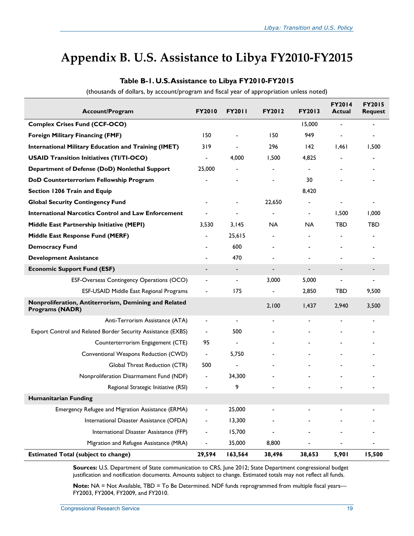### **Appendix B. U.S. Assistance to Libya FY2010-FY2015**

| <b>Account/Program</b>                                                          | <b>FY2010</b>            | <b>FY2011</b>            | <b>FY2012</b>            | <b>FY2013</b>            | <b>FY2014</b><br><b>Actual</b> | <b>FY2015</b><br><b>Request</b> |
|---------------------------------------------------------------------------------|--------------------------|--------------------------|--------------------------|--------------------------|--------------------------------|---------------------------------|
| <b>Complex Crises Fund (CCF-OCO)</b>                                            |                          |                          |                          | 15,000                   | $\blacksquare$                 |                                 |
| <b>Foreign Military Financing (FMF)</b>                                         | 150                      |                          | 150                      | 949                      |                                |                                 |
| <b>International Military Education and Training (IMET)</b>                     | 319                      | $\overline{\phantom{a}}$ | 296                      | 142                      | 1,461                          | 1,500                           |
| <b>USAID Transition Initiatives (TI/TI-OCO)</b>                                 |                          | 4,000                    | 1,500                    | 4,825                    |                                |                                 |
| Department of Defense (DoD) Nonlethal Support                                   | 25,000                   |                          |                          |                          |                                |                                 |
| DoD Counterterrorism Fellowship Program                                         |                          |                          |                          | 30                       |                                |                                 |
| Section 1206 Train and Equip                                                    |                          |                          |                          | 8,420                    |                                |                                 |
| <b>Global Security Contingency Fund</b>                                         |                          |                          | 22,650                   |                          |                                |                                 |
| <b>International Narcotics Control and Law Enforcement</b>                      |                          |                          |                          | $\overline{\phantom{a}}$ | 1,500                          | 1,000                           |
| Middle East Partnership Initiative (MEPI)                                       | 3,530                    | 3,145                    | NA.                      | NA                       | TBD                            | TBD                             |
| Middle East Response Fund (MERF)                                                |                          | 25,615                   | $\overline{\phantom{a}}$ |                          |                                | $\overline{\phantom{0}}$        |
| <b>Democracy Fund</b>                                                           |                          | 600                      |                          |                          |                                |                                 |
| <b>Development Assistance</b>                                                   |                          | 470                      |                          |                          |                                |                                 |
| <b>Economic Support Fund (ESF)</b>                                              | $\overline{\phantom{a}}$ | $\overline{\phantom{a}}$ | $\overline{\phantom{a}}$ | $\overline{\phantom{a}}$ | $\overline{\phantom{a}}$       |                                 |
| ESF-Overseas Contingency Operations (OCO)                                       |                          | $\overline{\phantom{a}}$ | 3,000                    | 5,000                    | $\overline{a}$                 |                                 |
| ESF-USAID Middle East Regional Programs                                         |                          | 175                      |                          | 2.850                    | <b>TBD</b>                     | 9,500                           |
| Nonproliferation, Antiterrorism, Demining and Related<br><b>Programs (NADR)</b> |                          |                          | 2,100                    | 1,437                    | 2,940                          | 3,500                           |
| Anti-Terrorism Assistance (ATA)                                                 | $\frac{1}{2}$            | $\blacksquare$           |                          |                          |                                |                                 |
| Export Control and Related Border Security Assistance (EXBS)                    | $\blacksquare$           | 500                      |                          |                          |                                |                                 |
| Counterterrorism Engagement (CTE)                                               | 95                       | $\overline{\phantom{a}}$ |                          |                          |                                |                                 |
| Conventional Weapons Reduction (CWD)                                            | $\overline{\phantom{a}}$ | 5,750                    |                          |                          |                                |                                 |
| Global Threat Reduction (CTR)                                                   | 500                      |                          |                          |                          |                                |                                 |
| Nonproliferation Disarmament Fund (NDF)                                         | $\overline{\phantom{a}}$ | 34,300                   |                          |                          |                                |                                 |
| Regional Strategic Initiative (RSI)                                             |                          | 9                        |                          |                          |                                |                                 |
| Humanitarian Funding                                                            |                          |                          |                          |                          |                                |                                 |
| Emergency Refugee and Migration Assistance (ERMA)                               |                          | 25,000                   |                          |                          |                                |                                 |
| International Disaster Assistance (OFDA)                                        |                          | 13,300                   |                          |                          |                                |                                 |
| International Disaster Assistance (FFP)                                         | $\overline{\phantom{0}}$ | 15,700                   |                          |                          |                                |                                 |
| Migration and Refugee Assistance (MRA)                                          | $\overline{\phantom{0}}$ | 35,000                   | 8,800                    |                          |                                |                                 |
| <b>Estimated Total (subject to change)</b>                                      | 29,594                   | 163,564                  | 38,496                   | 38,653                   | 5,901                          | 15,500                          |

#### **Table B-1. U.S. Assistance to Libya FY2010-FY2015**

(thousands of dollars, by account/program and fiscal year of appropriation unless noted)

**Sources:** U.S. Department of State communication to CRS, June 2012; State Department congressional budget justification and notification documents. Amounts subject to change. Estimated totals may not reflect all funds.

**Note:** NA = Not Available, TBD = To Be Determined. NDF funds reprogrammed from multiple fiscal years— FY2003, FY2004, FY2009, and FY2010.